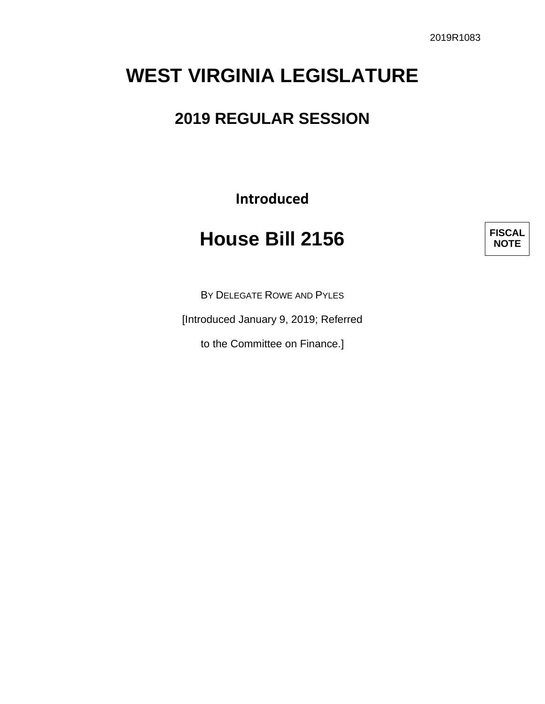# **WEST VIRGINIA LEGISLATURE**

## **2019 REGULAR SESSION**

**Introduced**

# **House Bill 2156**

**FISCAL NOTE**

BY DELEGATE ROWE AND PYLES

[Introduced January 9, 2019; Referred

to the Committee on Finance.]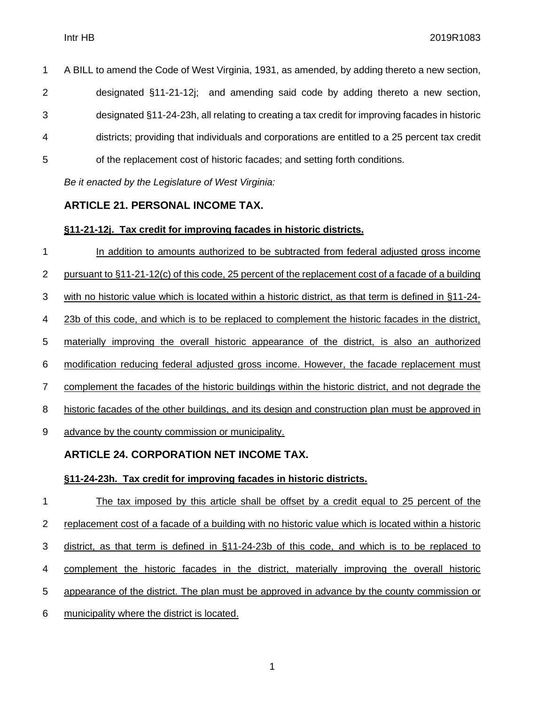A BILL to amend the Code of West Virginia, 1931, as amended, by adding thereto a new section, designated §11-21-12j; and amending said code by adding thereto a new section, designated §11-24-23h, all relating to creating a tax credit for improving facades in historic districts; providing that individuals and corporations are entitled to a 25 percent tax credit of the replacement cost of historic facades; and setting forth conditions.

*Be it enacted by the Legislature of West Virginia:*

### **ARTICLE 21. PERSONAL INCOME TAX.**

### **§11-21-12j. Tax credit for improving facades in historic districts.**

 In addition to amounts authorized to be subtracted from federal adjusted gross income pursuant to §11-21-12(c) of this code, 25 percent of the replacement cost of a facade of a building with no historic value which is located within a historic district, as that term is defined in §11-24- 23b of this code, and which is to be replaced to complement the historic facades in the district, materially improving the overall historic appearance of the district, is also an authorized modification reducing federal adjusted gross income. However, the facade replacement must complement the facades of the historic buildings within the historic district, and not degrade the 8 historic facades of the other buildings, and its design and construction plan must be approved in advance by the county commission or municipality. **ARTICLE 24. CORPORATION NET INCOME TAX.**

### **§11-24-23h. Tax credit for improving facades in historic districts.**

 The tax imposed by this article shall be offset by a credit equal to 25 percent of the replacement cost of a facade of a building with no historic value which is located within a historic district, as that term is defined in §11-24-23b of this code, and which is to be replaced to 4 complement the historic facades in the district, materially improving the overall historic 5 appearance of the district. The plan must be approved in advance by the county commission or municipality where the district is located.